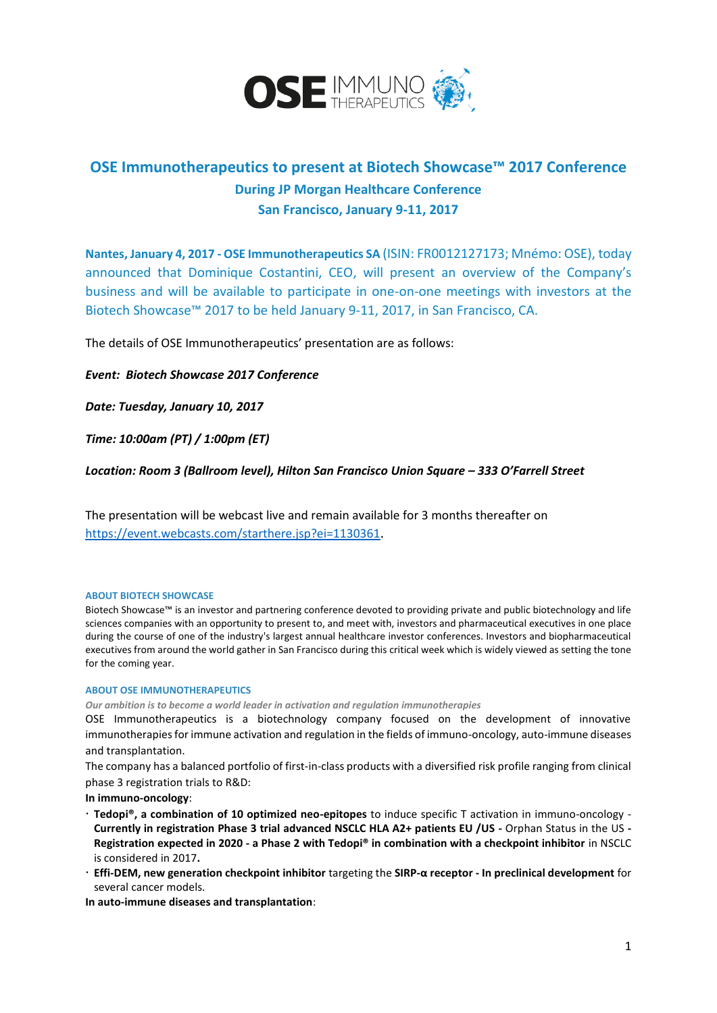

# **OSE Immunotherapeutics to present at Biotech Showcase™ 2017 Conference During JP Morgan Healthcare Conference San Francisco, January 9-11, 2017**

**Nantes, January 4, 2017 - OSE Immunotherapeutics SA** (ISIN: FR0012127173; Mnémo: OSE), today announced that Dominique Costantini, CEO, will present an overview of the Company's business and will be available to participate in one-on-one meetings with investors at the Biotech Showcase™ 2017 to be held January 9-11, 2017, in San Francisco, CA.

The details of OSE Immunotherapeutics' presentation are as follows:

## *Event: Biotech Showcase 2017 Conference*

*Date: Tuesday, January 10, 2017*

*Time: 10:00am (PT) / 1:00pm (ET)*

*Location: Room 3 (Ballroom level), Hilton San Francisco Union Square – 333 O'Farrell Street*

The presentation will be webcast live and remain available for 3 months thereafter on <https://event.webcasts.com/starthere.jsp?ei=1130361>.

## **ABOUT BIOTECH SHOWCASE**

Biotech Showcase™ is an investor and partnering conference devoted to providing private and public biotechnology and life sciences companies with an opportunity to present to, and meet with, investors and pharmaceutical executives in one place during the course of one of the industry's largest annual healthcare investor conferences. Investors and biopharmaceutical executives from around the world gather in San Francisco during this critical week which is widely viewed as setting the tone for the coming year.

## **ABOUT OSE IMMUNOTHERAPEUTICS**

*Our ambition is to become a world leader in activation and regulation immunotherapies*

OSE Immunotherapeutics is a biotechnology company focused on the development of innovative immunotherapies for immune activation and regulation in the fields of immuno-oncology, auto-immune diseases and transplantation.

The company has a balanced portfolio of first-in-class products with a diversified risk profile ranging from clinical phase 3 registration trials to R&D:

**In immuno-oncology**:

- **Tedopi®, a combination of 10 optimized neo-epitopes** to induce specific T activation in immuno-oncology **Currently in registration Phase 3 trial advanced NSCLC HLA A2+ patients EU /US -** Orphan Status in the US **- Registration expected in 2020 - a Phase 2 with Tedopi® in combination with a checkpoint inhibitor** in NSCLC is considered in 2017**.**
- **Effi-DEM, new generation checkpoint inhibitor** targeting the **SIRP-α receptor - In preclinical development** for several cancer models.

**In auto-immune diseases and transplantation**: